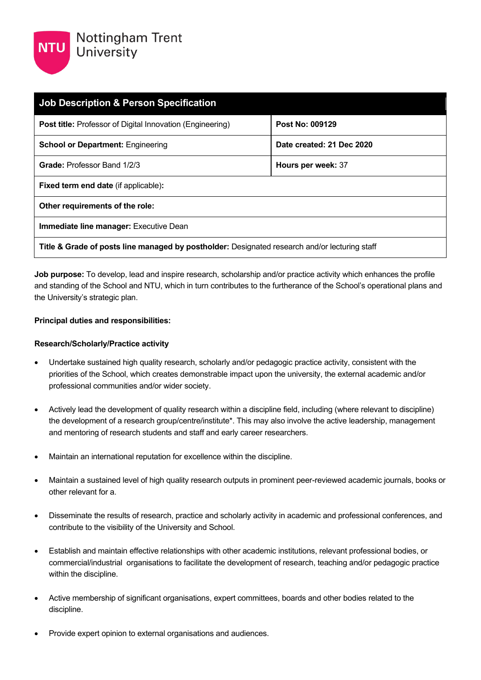| <b>Job Description &amp; Person Specification</b>                                             |                           |  |  |
|-----------------------------------------------------------------------------------------------|---------------------------|--|--|
| <b>Post title:</b> Professor of Digital Innovation (Engineering)                              | Post No: 009129           |  |  |
| <b>School or Department: Engineering</b>                                                      | Date created: 21 Dec 2020 |  |  |
| Grade: Professor Band 1/2/3                                                                   | Hours per week: 37        |  |  |
| <b>Fixed term end date (if applicable):</b>                                                   |                           |  |  |
| Other requirements of the role:                                                               |                           |  |  |
| <b>Immediate line manager: Executive Dean</b>                                                 |                           |  |  |
| Title & Grade of posts line managed by postholder: Designated research and/or lecturing staff |                           |  |  |

**Job purpose:** To develop, lead and inspire research, scholarship and/or practice activity which enhances the profile and standing of the School and NTU, which in turn contributes to the furtherance of the School's operational plans and the University's strategic plan.

### **Principal duties and responsibilities:**

### **Research/Scholarly/Practice activity**

- Undertake sustained high quality research, scholarly and/or pedagogic practice activity, consistent with the priorities of the School, which creates demonstrable impact upon the university, the external academic and/or professional communities and/or wider society.
- Actively lead the development of quality research within a discipline field, including (where relevant to discipline) the development of a research group/centre/institute\*. This may also involve the active leadership, management and mentoring of research students and staff and early career researchers.
- Maintain an international reputation for excellence within the discipline.
- Maintain a sustained level of high quality research outputs in prominent peer-reviewed academic journals, books or other relevant for a.
- Disseminate the results of research, practice and scholarly activity in academic and professional conferences, and contribute to the visibility of the University and School.
- Establish and maintain effective relationships with other academic institutions, relevant professional bodies, or commercial/industrial organisations to facilitate the development of research, teaching and/or pedagogic practice within the discipline.
- Active membership of significant organisations, expert committees, boards and other bodies related to the discipline.
- Provide expert opinion to external organisations and audiences.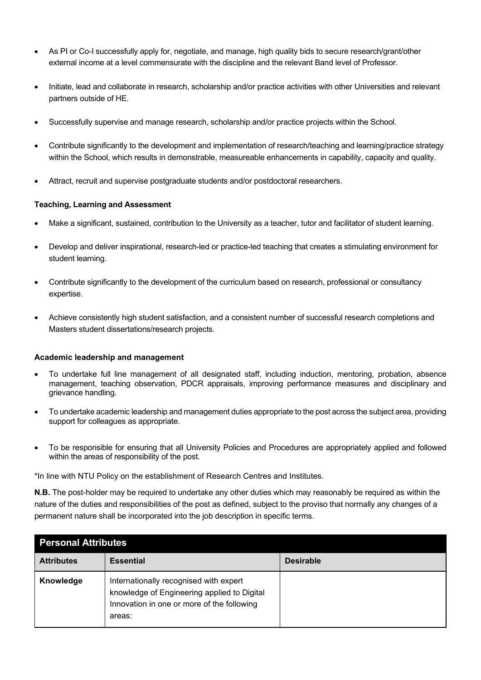- As PI or Co-I successfully apply for, negotiate, and manage, high quality bids to secure research/grant/other external income at a level commensurate with the discipline and the relevant Band level of Professor.
- Initiate, lead and collaborate in research, scholarship and/or practice activities with other Universities and relevant partners outside of HE.
- Successfully supervise and manage research, scholarship and/or practice projects within the School.
- Contribute significantly to the development and implementation of research/teaching and learning/practice strategy within the School, which results in demonstrable, measureable enhancements in capability, capacity and quality.
- Attract, recruit and supervise postgraduate students and/or postdoctoral researchers.

## **Teaching, Learning and Assessment**

- Make a significant, sustained, contribution to the University as a teacher, tutor and facilitator of student learning.
- Develop and deliver inspirational, research-led or practice-led teaching that creates a stimulating environment for student learning.
- Contribute significantly to the development of the curriculum based on research, professional or consultancy expertise.
- Achieve consistently high student satisfaction, and a consistent number of successful research completions and Masters student dissertations/research projects.

### **Academic leadership and management**

- To undertake full line management of all designated staff, including induction, mentoring, probation, absence management, teaching observation, PDCR appraisals, improving performance measures and disciplinary and grievance handling.
- To undertake academic leadership and management duties appropriate to the post across the subject area, providing support for colleagues as appropriate.
- To be responsible for ensuring that all University Policies and Procedures are appropriately applied and followed within the areas of responsibility of the post.

\*In line with NTU Policy on the establishment of Research Centres and Institutes.

**N.B.** The post-holder may be required to undertake any other duties which may reasonably be required as within the nature of the duties and responsibilities of the post as defined, subject to the proviso that normally any changes of a permanent nature shall be incorporated into the job description in specific terms.

| <b>Personal Attributes</b> |                                                                                                                                               |                  |  |
|----------------------------|-----------------------------------------------------------------------------------------------------------------------------------------------|------------------|--|
| <b>Attributes</b>          | <b>Essential</b>                                                                                                                              | <b>Desirable</b> |  |
| Knowledge                  | Internationally recognised with expert<br>knowledge of Engineering applied to Digital<br>Innovation in one or more of the following<br>areas: |                  |  |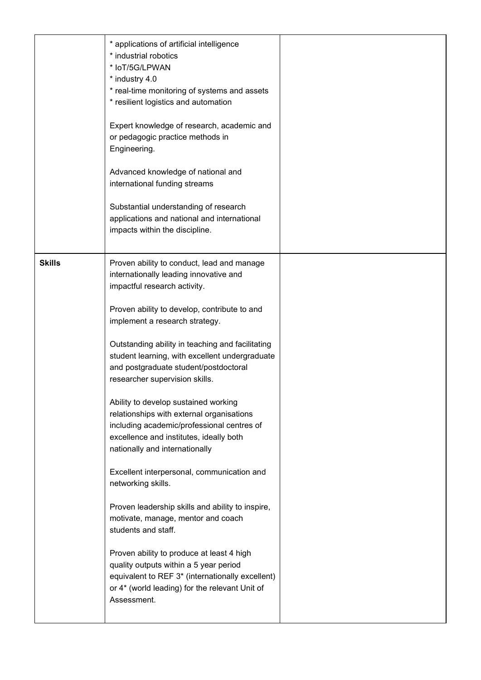|               | * applications of artificial intelligence<br>* industrial robotics<br>* IoT/5G/LPWAN<br>* industry 4.0<br>* real-time monitoring of systems and assets<br>* resilient logistics and automation<br>Expert knowledge of research, academic and<br>or pedagogic practice methods in<br>Engineering.<br>Advanced knowledge of national and<br>international funding streams<br>Substantial understanding of research<br>applications and national and international<br>impacts within the discipline.                                                                     |  |
|---------------|-----------------------------------------------------------------------------------------------------------------------------------------------------------------------------------------------------------------------------------------------------------------------------------------------------------------------------------------------------------------------------------------------------------------------------------------------------------------------------------------------------------------------------------------------------------------------|--|
| <b>Skills</b> | Proven ability to conduct, lead and manage<br>internationally leading innovative and<br>impactful research activity.<br>Proven ability to develop, contribute to and<br>implement a research strategy.<br>Outstanding ability in teaching and facilitating<br>student learning, with excellent undergraduate<br>and postgraduate student/postdoctoral<br>researcher supervision skills.<br>Ability to develop sustained working<br>relationships with external organisations<br>including academic/professional centres of<br>excellence and institutes, ideally both |  |
|               | nationally and internationally<br>Excellent interpersonal, communication and<br>networking skills.<br>Proven leadership skills and ability to inspire,<br>motivate, manage, mentor and coach<br>students and staff.<br>Proven ability to produce at least 4 high<br>quality outputs within a 5 year period<br>equivalent to REF 3* (internationally excellent)<br>or 4* (world leading) for the relevant Unit of<br>Assessment.                                                                                                                                       |  |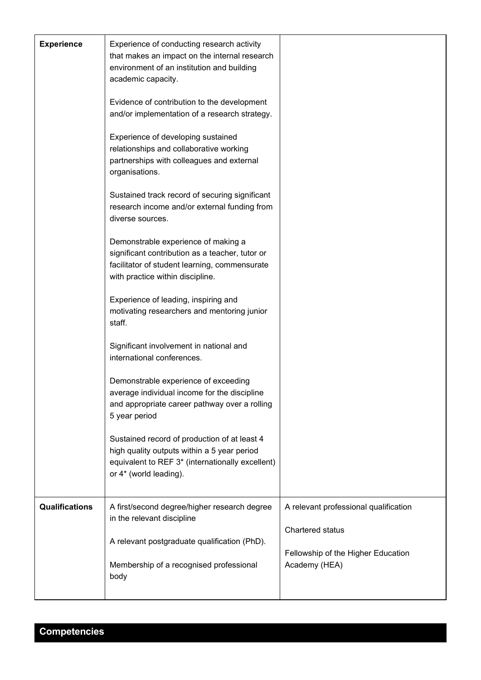| <b>Experience</b>     | Experience of conducting research activity<br>that makes an impact on the internal research<br>environment of an institution and building<br>academic capacity.<br>Evidence of contribution to the development<br>and/or implementation of a research strategy.<br>Experience of developing sustained<br>relationships and collaborative working<br>partnerships with colleagues and external<br>organisations.<br>Sustained track record of securing significant<br>research income and/or external funding from<br>diverse sources.<br>Demonstrable experience of making a<br>significant contribution as a teacher, tutor or<br>facilitator of student learning, commensurate<br>with practice within discipline.<br>Experience of leading, inspiring and<br>motivating researchers and mentoring junior<br>staff.<br>Significant involvement in national and<br>international conferences.<br>Demonstrable experience of exceeding<br>average individual income for the discipline<br>and appropriate career pathway over a rolling<br>5 year period<br>Sustained record of production of at least 4<br>high quality outputs within a 5 year period<br>equivalent to REF 3* (internationally excellent)<br>or 4* (world leading). |                                                                                                                  |
|-----------------------|---------------------------------------------------------------------------------------------------------------------------------------------------------------------------------------------------------------------------------------------------------------------------------------------------------------------------------------------------------------------------------------------------------------------------------------------------------------------------------------------------------------------------------------------------------------------------------------------------------------------------------------------------------------------------------------------------------------------------------------------------------------------------------------------------------------------------------------------------------------------------------------------------------------------------------------------------------------------------------------------------------------------------------------------------------------------------------------------------------------------------------------------------------------------------------------------------------------------------------------|------------------------------------------------------------------------------------------------------------------|
|                       |                                                                                                                                                                                                                                                                                                                                                                                                                                                                                                                                                                                                                                                                                                                                                                                                                                                                                                                                                                                                                                                                                                                                                                                                                                       |                                                                                                                  |
| <b>Qualifications</b> | A first/second degree/higher research degree<br>in the relevant discipline<br>A relevant postgraduate qualification (PhD).<br>Membership of a recognised professional<br>body                                                                                                                                                                                                                                                                                                                                                                                                                                                                                                                                                                                                                                                                                                                                                                                                                                                                                                                                                                                                                                                         | A relevant professional qualification<br>Chartered status<br>Fellowship of the Higher Education<br>Academy (HEA) |